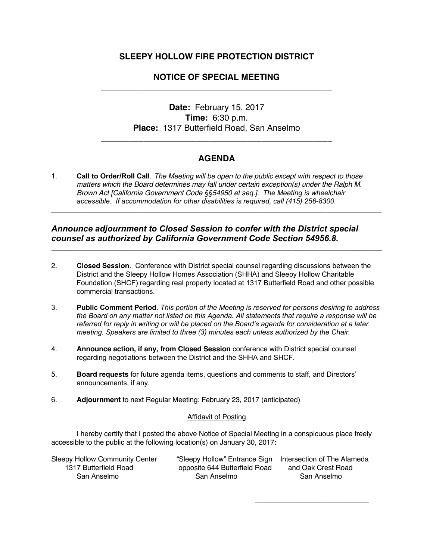## **SLEEPY HOLLOW FIRE PROTECTION DISTRICT**

# **NOTICE OF SPECIAL MEETING**  \_\_\_\_\_\_\_\_\_\_\_\_\_\_\_\_\_\_\_\_\_\_\_\_\_\_\_\_\_\_\_\_\_\_\_\_\_\_\_\_\_\_\_\_\_\_\_\_\_

# **Date:** February 15, 2017 **Time:** 6:30 p.m. **Place:** 1317 Butterfield Road, San Anselmo

## **AGENDA**

**\_\_\_\_\_\_\_\_\_\_\_\_\_\_\_\_\_\_\_\_\_\_\_\_\_\_\_\_\_\_\_\_\_\_\_\_\_\_\_\_\_\_\_\_\_\_\_\_\_\_\_\_\_\_\_\_\_\_\_\_\_\_\_\_\_\_\_\_\_\_\_\_\_\_\_\_\_\_\_\_\_\_\_\_**

**\_\_\_\_\_\_\_\_\_\_\_\_\_\_\_\_\_\_\_\_\_\_\_\_\_\_\_\_\_\_\_\_\_\_\_\_\_\_\_\_\_\_\_\_\_\_\_\_\_\_\_\_\_\_\_\_\_\_\_\_\_\_\_\_\_\_\_\_\_\_\_\_\_\_\_\_\_\_\_\_\_\_\_\_**

\_\_\_\_\_\_\_\_\_\_\_\_\_\_\_\_\_\_\_\_\_\_\_\_\_\_\_\_\_\_\_\_\_\_\_\_\_\_\_\_\_\_\_\_\_\_\_\_\_

1. **Call to Order/Roll Call**. *The Meeting will be open to the public except with respect to those matters which the Board determines may fall under certain exception(s) under the Ralph M. Brown Act [California Government Code §§54950 et seq.]. The Meeting is wheelchair accessible. If accommodation for other disabilities is required, call (415) 256-8300.*

#### *Announce adjournment to Closed Session to confer with the District special counsel as authorized by California Government Code Section 54956.8.*

- 2. **Closed Session**. Conference with District special counsel regarding discussions between the District and the Sleepy Hollow Homes Association (SHHA) and Sleepy Hollow Charitable Foundation (SHCF) regarding real property located at 1317 Butterfield Road and other possible commercial transactions.
- 3. **Public Comment Period**. *This portion of the Meeting is reserved for persons desiring to address the Board on any matter not listed on this Agenda. All statements that require a response will be referred for reply in writing or will be placed on the Board's agenda for consideration at a later meeting. Speakers are limited to three (3) minutes each unless authorized by the Chair.*
- 4. **Announce action, if any, from Closed Session** conference with District special counsel regarding negotiations between the District and the SHHA and SHCF.
- 5. **Board requests** for future agenda items, questions and comments to staff, and Directors' announcements, if any.
- 6. **Adjournment** to next Regular Meeting: February 23, 2017 (anticipated)

#### Affidavit of Posting

I hereby certify that I posted the above Notice of Special Meeting in a conspicuous place freely accessible to the public at the following location(s) on January 30, 2017:

| <b>Sleepy Hollow Community Center</b> | "Sleepy Hollow" Entrance Sign Intersection of The Alameda |                    |
|---------------------------------------|-----------------------------------------------------------|--------------------|
| 1317 Butterfield Road                 | opposite 644 Butterfield Road                             | and Oak Crest Road |
| San Anselmo                           | San Anselmo                                               | San Anselmo        |

\_\_\_\_\_\_\_\_\_\_\_\_\_\_\_\_\_\_\_\_\_\_\_\_\_\_\_\_\_